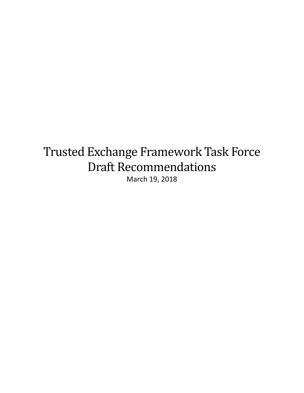# Trusted Exchange Framework Task Force Draft Recommendations March 19, 2018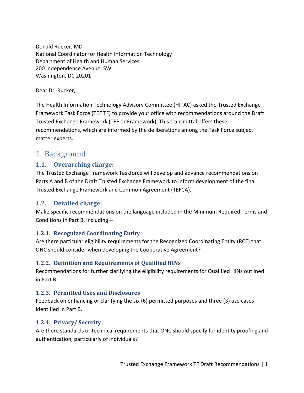Donald Rucker, MD National Coordinator for Health Information Technology Department of Health and Human Services 200 Independence Avenue, SW Washington, DC 20201

Dear Dr. Rucker,

The Health Information Technology Advisory Committee (HITAC) asked the Trusted Exchange Framework Task Force (TEF TF) to provide your office with recommendations around the Draft Trusted Exchange Framework (TEF or Framework). This transmittal offers these recommendations, which are informed by the deliberations among the Task Force subject matter experts.

# 1. Background

#### **1.1. Overarching charge:**

The Trusted Exchange Framework Taskforce will develop and advance recommendations on Parts A and B of the Draft Trusted Exchange Framework to inform development of the final Trusted Exchange Framework and Common Agreement (TEFCA).

#### **1.2. Detailed charge:**

Make specific recommendations on the language included in the Minimum Required Terms and Conditions in Part B, including—

#### **1.2.1. Recognized Coordinating Entity**

Are there particular eligibility requirements for the Recognized Coordinating Entity (RCE) that ONC should consider when developing the Cooperative Agreement?

#### **1.2.2. Definition and Requirements of Qualified HINs**

Recommendations for further clarifying the eligibility requirements for Qualified HINs outlined in Part B.

#### **1.2.3. Permitted Uses and Disclosures**

Feedback on enhancing or clarifying the six (6) permitted purposes and three (3) use cases identified in Part B.

#### **1.2.4. Privacy/ Security**

Are there standards or technical requirements that ONC should specify for identity proofing and authentication, particularly of individuals?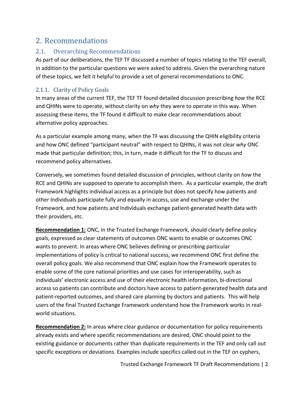# 2. Recommendations

## 2.1. Overarching Recommendations

As part of our deliberations, the TEF TF discussed a number of topics relating to the TEF overall, in addition to the particular questions we were asked to address. Given the overarching nature of these topics, we felt it helpful to provide a set of general recommendations to ONC.

#### 2.1.1. Clarity of Policy Goals

In many areas of the current TEF, the TEF TF found detailed discussion prescribing *how* the RCE and QHINs were to operate, without clarity on *why* they were to operate in this way. When assessing these items, the TF found it difficult to make clear recommendations about alternative policy approaches.

As a particular example among many, when the TF was discussing the QHIN eligibility criteria and how ONC defined "participant neutral" with respect to QHINs, it was not clear *why* ONC made that particular definition; this, in turn, made it difficult for the TF to discuss and recommend policy alternatives.

Conversely, we sometimes found detailed discussion of principles, without clarity on *how* the RCE and QHINs are supposed to operate to accomplish them. As a particular example, the draft Framework highlights individual access as a principle but does not specify how patients and other Individuals participate fully and equally in access, use and exchange under the Framework, and how patients and Individuals exchange patient-generated health data with their providers, etc.

**Recommendation 1:** ONC, in the Trusted Exchange Framework, should clearly define policy goals, expressed as clear statements of outcomes ONC wants to enable or outcomes ONC wants to prevent. In areas where ONC believes defining or prescribing particular implementations of policy is critical to national success, we recommend ONC first define the overall policy goals. We also recommend that ONC explain how the Framework operates to enable some of the core national priorities and use cases for interoperability, such as individuals' electronic access and use of their electronic health information, bi-directional access so patients can contribute and doctors have access to patient-generated health data and patient-reported outcomes, and shared care planning by doctors and patients. This will help users of the final Trusted Exchange Framework understand how the Framework works in realworld situations.

**Recommendation 2:** In areas where clear guidance or documentation for policy requirements already exists and where specific recommendations are desired, ONC should point to the existing guidance or documents rather than duplicate requirements in the TEF and only call out specific exceptions or deviations. Examples include specifics called out in the TEF on cyphers,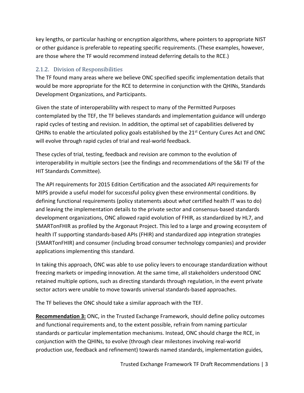key lengths, or particular hashing or encryption algorithms, where pointers to appropriate NIST or other guidance is preferable to repeating specific requirements. (These examples, however, are those where the TF would recommend instead deferring details to the RCE.)

#### 2.1.2. Division of Responsibilities

The TF found many areas where we believe ONC specified specific implementation details that would be more appropriate for the RCE to determine in conjunction with the QHINs, Standards Development Organizations, and Participants.

Given the state of interoperability with respect to many of the Permitted Purposes contemplated by the TEF, the TF believes standards and implementation guidance will undergo rapid cycles of testing and revision. In addition, the optimal set of capabilities delivered by QHINs to enable the articulated policy goals established by the 21<sup>st</sup> Century Cures Act and ONC will evolve through rapid cycles of trial and real-world feedback.

These cycles of trial, testing, feedback and revision are common to the evolution of interoperability in multiple sectors (see the findings and recommendations of the S&I TF of the HIT Standards Committee).

The API requirements for 2015 Edition Certification and the associated API requirements for MIPS provide a useful model for successful policy given these environmental conditions. By defining functional requirements (policy statements about *what* certified health IT was to do) and leaving the implementation details to the private sector and consensus-based standards development organizations, ONC allowed rapid evolution of FHIR, as standardized by HL7, and SMARTonFHIR as profiled by the Argonaut Project. This led to a large and growing ecosystem of health IT supporting standards-based APIs (FHIR) and standardized app integration strategies (SMARTonFHIR) and consumer (including broad consumer technology companies) and provider applications implementing this standard.

In taking this approach, ONC was able to use policy levers to encourage standardization without freezing markets or impeding innovation. At the same time, all stakeholders understood ONC retained multiple options, such as directing standards through regulation, in the event private sector actors were unable to move towards universal standards-based approaches.

The TF believes the ONC should take a similar approach with the TEF.

**Recommendation 3:** ONC, in the Trusted Exchange Framework, should define policy outcomes and functional requirements and, to the extent possible, refrain from naming particular standards or particular implementation mechanisms. Instead, ONC should charge the RCE, in conjunction with the QHINs, to evolve (through clear milestones involving real-world production use, feedback and refinement) towards named standards, implementation guides,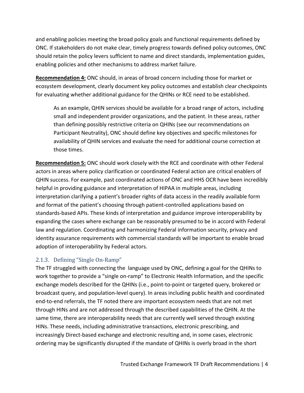and enabling policies meeting the broad policy goals and functional requirements defined by ONC. If stakeholders do not make clear, timely progress towards defined policy outcomes, ONC should retain the policy levers sufficient to name and direct standards, implementation guides, enabling policies and other mechanisms to address market failure.

**Recommendation 4:** ONC should, in areas of broad concern including those for market or ecosystem development, clearly document key policy outcomes and establish clear checkpoints for evaluating whether additional guidance for the QHINs or RCE need to be established.

As an example, QHIN services should be available for a broad range of actors, including small and independent provider organizations, and the patient. In these areas, rather than defining possibly restrictive criteria on QHINs (see our recommendations on Participant Neutrality), ONC should define key objectives and specific milestones for availability of QHIN services and evaluate the need for additional course correction at those times.

**Recommendation 5:** ONC should work closely with the RCE and coordinate with other Federal actors in areas where policy clarification or coordinated Federal action are critical enablers of QHIN success. For example, past coordinated actions of ONC and HHS OCR have been incredibly helpful in providing guidance and interpretation of HIPAA in multiple areas, including interpretation clarifying a patient's broader rights of data access in the readily available form and format of the patient's choosing through patient-controlled applications based on standards-based APIs. These kinds of interpretation and guidance improve interoperability by expanding the cases where exchange can be reasonably presumed to be in accord with Federal law and regulation. Coordinating and harmonizing Federal information security, privacy and identity assurance requirements with commercial standards will be important to enable broad adoption of interoperability by Federal actors.

#### 2.1.3. Defining "Single On-Ramp"

The TF struggled with connecting the language used by ONC, defining a goal for the QHINs to work together to provide a "single on-ramp" to Electronic Health Information, and the specific exchange models described for the QHINs (i.e., point-to-point or targeted query, brokered or broadcast query, and population-level query). In areas including public health and coordinated end-to-end referrals, the TF noted there are important ecosystem needs that are not met through HINs and are not addressed through the described capabilities of the QHIN. At the same time, there are interoperability needs that are currently well served through existing HINs. These needs, including administrative transactions, electronic prescribing, and increasingly Direct-based exchange and electronic resulting and, in some cases, electronic ordering may be significantly disrupted if the mandate of QHINs is overly broad in the short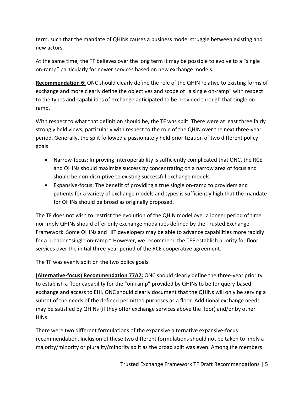term, such that the mandate of QHINs causes a business model struggle between existing and new actors.

At the same time, the TF believes over the long term it may be possible to evolve to a "single on-ramp" particularly for newer services based on new exchange models.

**Recommendation 6:** ONC should clearly define the role of the QHIN relative to existing forms of exchange and more clearly define the objectives and scope of "a single on-ramp" with respect to the types and capabilities of exchange anticipated to be provided through that single onramp.

With respect to what that definition should be, the TF was split. There were at least three fairly strongly held views, particularly with respect to the role of the QHIN over the next three-year period. Generally, the split followed a passionately held prioritization of two different policy goals:

- Narrow-focus: Improving interoperability is sufficiently complicated that ONC, the RCE and QHINs should maximize success by concentrating on a narrow area of focus and should be non-disruptive to existing successful exchange models.
- Expansive-focus: The benefit of providing a true single on-ramp to providers and patients for a variety of exchange models and types is sufficiently high that the mandate for QHINs should be broad as originally proposed.

The TF does not wish to restrict the evolution of the QHIN model over a longer period of time nor imply QHINs should offer only exchange modalities defined by the Trusted Exchange Framework. Some QHINs and HIT developers may be able to advance capabilities more rapidly for a broader "single on-ramp." However, we recommend the TEF establish priority for floor services over the initial three-year period of the RCE cooperative agreement.

The TF was evenly split on the two policy goals.

**(Alternative-focus) Recommendation 77A7:** ONC should clearly define the three-year priority to establish a floor capability for the "on-ramp" provided by QHINs to be for query-based exchange and access to EHI. ONC should clearly document that the QHINs will only be serving a subset of the needs of the defined permitted purposes as a floor. Additional exchange needs may be satisfied by QHINs (if they offer exchange services above the floor) and/or by other HINs.

There were two different formulations of the expansive alternative expansive-focus recommendation. Inclusion of these two different formulations should not be taken to imply a majority/minority or plurality/minority split as the broad split was even. Among the members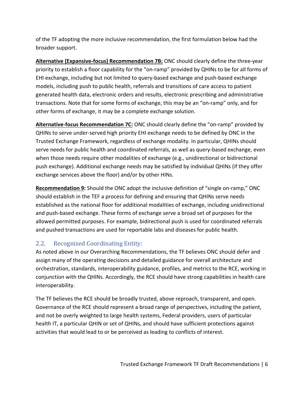of the TF adopting the more inclusive recommendation, the first formulation below had the broader support.

**Alternative (Expansive-focus) Recommendation 7B:** ONC should clearly define the three-year priority to establish a floor capability for the "on-ramp" provided by QHINs to be for all forms of EHI exchange, including but not limited to query-based exchange and push-based exchange models, including push to public health, referrals and transitions of care access to patient generated health data, electronic orders and results, electronic prescribing and administrative transactions. Note that for some forms of exchange, this may be an "on-ramp" only, and for other forms of exchange, it may be a complete exchange solution.

**Alternative-focus Recommendation 7C:** ONC should clearly define the "on-ramp" provided by QHINs to serve under-served high priority EHI exchange needs to be defined by ONC in the Trusted Exchange Framework, regardless of exchange modality. In particular, QHINs should serve needs for public health and coordinated referrals, as well as query-based exchange, even when those needs require other modalities of exchange (e.g., unidirectional or bidirectional push exchange). Additional exchange needs may be satisfied by individual QHINs (if they offer exchange services above the floor) and/or by other HINs.

**Recommendation 9:** Should the ONC adopt the inclusive definition of "single on-ramp," ONC should establish in the TEF a process for defining and ensuring that QHINs serve needs established as the national floor for additional modalities of exchange, including unidirectional and push-based exchange. These forms of exchange serve a broad set of purposes for the allowed permitted purposes. For example, bidirectional push is used for coordinated referrals and pushed transactions are used for reportable labs and diseases for public health.

# 2.2. Recognized Coordinating Entity:

As noted above in our Overarching Recommendations, the TF believes ONC should defer and assign many of the operating decisions and detailed guidance for overall architecture and orchestration, standards, interoperability guidance, profiles, and metrics to the RCE, working in conjunction with the QHINs. Accordingly, the RCE should have strong capabilities in health care interoperability.

The TF believes the RCE should be broadly trusted, above reproach, transparent, and open. Governance of the RCE should represent a broad range of perspectives, including the patient, and not be overly weighted to large health systems, Federal providers, users of particular health IT, a particular QHIN or set of QHINs, and should have sufficient protections against activities that would lead to or be perceived as leading to conflicts of interest.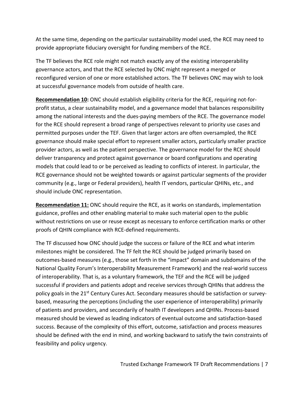At the same time, depending on the particular sustainability model used, the RCE may need to provide appropriate fiduciary oversight for funding members of the RCE.

The TF believes the RCE role might not match exactly any of the existing interoperability governance actors, and that the RCE selected by ONC might represent a merged or reconfigured version of one or more established actors. The TF believes ONC may wish to look at successful governance models from outside of health care.

**Recommendation 10:** ONC should establish eligibility criteria for the RCE, requiring not-forprofit status, a clear sustainability model, and a governance model that balances responsibility among the national interests and the dues-paying members of the RCE. The governance model for the RCE should represent a broad range of perspectives relevant to priority use cases and permitted purposes under the TEF. Given that larger actors are often oversampled, the RCE governance should make special effort to represent smaller actors, particularly smaller practice provider actors, as well as the patient perspective. The governance model for the RCE should deliver transparency and protect against governance or board configurations and operating models that could lead to or be perceived as leading to conflicts of interest. In particular, the RCE governance should not be weighted towards or against particular segments of the provider community (e.g., large or Federal providers), health IT vendors, particular QHINs, etc., and should include ONC representation.

**Recommendation 11:** ONC should require the RCE, as it works on standards, implementation guidance, profiles and other enabling material to make such material open to the public without restrictions on use or reuse except as necessary to enforce certification marks or other proofs of QHIN compliance with RCE-defined requirements.

The TF discussed how ONC should judge the success or failure of the RCE and what interim milestones might be considered. The TF felt the RCE should be judged primarily based on outcomes-based measures (e.g., those set forth in the "impact" domain and subdomains of the National Quality Forum's Interoperability Measurement Framework) and the real-world success of interoperability. That is, as a voluntary framework, the TEF and the RCE will be judged successful if providers and patients adopt and receive services through QHINs that address the policy goals in the 21<sup>st</sup> Century Cures Act. Secondary measures should be satisfaction or surveybased, measuring the perceptions (including the user experience of interoperability) primarily of patients and providers, and secondarily of health IT developers and QHINs. Process-based measured should be viewed as leading indicators of eventual outcome and satisfaction-based success. Because of the complexity of this effort, outcome, satisfaction and process measures should be defined with the end in mind, and working backward to satisfy the twin constraints of feasibility and policy urgency.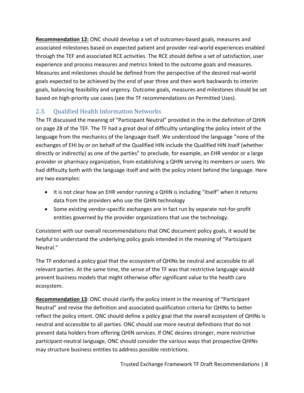**Recommendation 12:** ONC should develop a set of outcomes-based goals, measures and associated milestones based on expected patient and provider real-world experiences enabled through the TEF and associated RCE activities. The RCE should define a set of satisfaction, user experience and process measures and metrics linked to the outcome goals and measures. Measures and milestones should be defined from the perspective of the desired real-world goals expected to be achieved by the end of year three and then work backwards to interim goals, balancing feasibility and urgency. Outcome goals, measures and milestones should be set based on high-priority use cases (see the TF recommendations on Permitted Uses).

# 2.3. Qualified Health Information Networks

The TF discussed the meaning of "Participant Neutral" provided in the in the definition of QHIN on page 28 of the TEF. The TF had a great deal of difficultly untangling the policy intent of the language from the mechanics of the language itself. We understood the language "none of the exchanges of EHI by or on behalf of the Qualified HIN include the Qualified HIN itself (whether directly or indirectly) as one of the parties" to preclude, for example, an EHR vendor or a large provider or pharmacy organization, from establishing a QHIN serving its members or users. We had difficulty both with the language itself and with the policy intent behind the language. Here are two examples:

- It is not clear how an EHR vendor running a QHIN is including "itself" when it returns data from the providers who use the QHIN technology
- Some existing vendor-specific exchanges are in fact run by separate not-for-profit entities governed by the provider organizations that use the technology.

Consistent with our overall recommendations that ONC document policy goals, it would be helpful to understand the underlying policy goals intended in the meaning of "Participant Neutral."

The TF endorsed a policy goal that the ecosystem of QHINs be neutral and accessible to all relevant parties. At the same time, the sense of the TF was that restrictive language would prevent business models that might otherwise offer significant value to the health care ecosystem.

**Recommendation 13**: ONC should clarify the policy intent in the meaning of "Participant Neutral" and revise the definition and associated qualification criteria for QHINs to better reflect the policy intent. ONC should define a policy goal that the overall ecosystem of QHINs is neutral and accessible to all parties. ONC should use more neutral definitions that do not prevent data holders from offering QHIN services. If ONC desires stronger, more restrictive participant-neutral language, ONC should consider the various ways that prospective QHINs may structure business entities to address possible restrictions.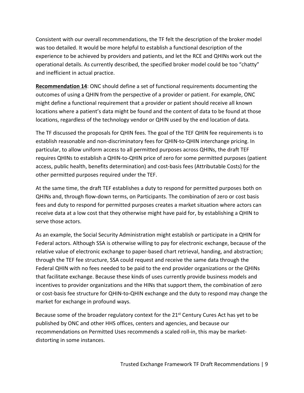Consistent with our overall recommendations, the TF felt the description of the broker model was too detailed. It would be more helpful to establish a functional description of the experience to be achieved by providers and patients, and let the RCE and QHINs work out the operational details. As currently described, the specified broker model could be too "chatty" and inefficient in actual practice.

**Recommendation 14**: ONC should define a set of functional requirements documenting the outcomes of using a QHIN from the perspective of a provider or patient. For example, ONC might define a functional requirement that a provider or patient should receive all known locations where a patient's data might be found and the content of data to be found at those locations, regardless of the technology vendor or QHIN used by the end location of data.

The TF discussed the proposals for QHIN fees. The goal of the TEF QHIN fee requirements is to establish reasonable and non-discriminatory fees for QHIN-to-QHIN interchange pricing. In particular, to allow uniform access to all permitted purposes across QHINs, the draft TEF requires QHINs to establish a QHIN-to-QHIN price of zero for some permitted purposes (patient access, public health, benefits determination) and cost-basis fees (Attributable Costs) for the other permitted purposes required under the TEF.

At the same time, the draft TEF establishes a duty to respond for permitted purposes both on QHINs and, through flow-down terms, on Participants. The combination of zero or cost basis fees and duty to respond for permitted purposes creates a market situation where actors can receive data at a low cost that they otherwise might have paid for, by establishing a QHIN to serve those actors.

As an example, the Social Security Administration might establish or participate in a QHIN for Federal actors. Although SSA is otherwise willing to pay for electronic exchange, because of the relative value of electronic exchange to paper-based chart retrieval, handing, and abstraction; through the TEF fee structure, SSA could request and receive the same data through the Federal QHIN with no fees needed to be paid to the end provider organizations or the QHINs that facilitate exchange. Because these kinds of uses currently provide business models and incentives to provider organizations and the HINs that support them, the combination of zero or cost-basis fee structure for QHIN-to-QHIN exchange and the duty to respond may change the market for exchange in profound ways.

Because some of the broader regulatory context for the  $21<sup>st</sup>$  Century Cures Act has yet to be published by ONC and other HHS offices, centers and agencies, and because our recommendations on Permitted Uses recommends a scaled roll-in, this may be marketdistorting in some instances.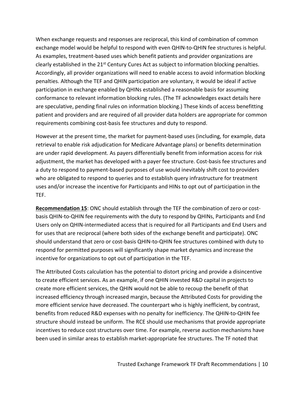When exchange requests and responses are reciprocal, this kind of combination of common exchange model would be helpful to respond with even QHIN-to-QHIN fee structures is helpful. As examples, treatment-based uses which benefit patients and provider organizations are clearly established in the 21<sup>st</sup> Century Cures Act as subject to information blocking penalties. Accordingly, all provider organizations will need to enable access to avoid information blocking penalties. Although the TEF and QHIN participation are voluntary, it would be ideal if active participation in exchange enabled by QHINs established a reasonable basis for assuming conformance to relevant information blocking rules. (The TF acknowledges exact details here are speculative, pending final rules on information blocking.) These kinds of access benefitting patient and providers and are required of all provider data holders are appropriate for common requirements combining cost-basis fee structures and duty to respond.

However at the present time, the market for payment-based uses (including, for example, data retrieval to enable risk adjudication for Medicare Advantage plans) or benefits determination are under rapid development. As payers differentially benefit from information access for risk adjustment, the market has developed with a payer fee structure. Cost-basis fee structures and a duty to respond to payment-based purposes of use would inevitably shift cost to providers who are obligated to respond to queries and to establish query infrastructure for treatment uses and/or increase the incentive for Participants and HINs to opt out of participation in the TEF.

**Recommendation 15**: ONC should establish through the TEF the combination of zero or costbasis QHIN-to-QHIN fee requirements with the duty to respond by QHINs, Participants and End Users only on QHIN-intermediated access that is required for all Participants and End Users and for uses that are reciprocal (where both sides of the exchange benefit and participate). ONC should understand that zero or cost-basis QHIN-to-QHIN fee structures combined with duty to respond for permitted purposes will significantly shape market dynamics and increase the incentive for organizations to opt out of participation in the TEF.

The Attributed Costs calculation has the potential to distort pricing and provide a disincentive to create efficient services. As an example, if one QHIN invested R&D capital in projects to create more efficient services, the QHIN would not be able to recoup the benefit of that increased efficiency through increased margin, because the Attributed Costs for providing the more efficient service have decreased. The counterpart who is highly inefficient, by contrast, benefits from reduced R&D expenses with no penalty for inefficiency. The QHIN-to-QHIN fee structure should instead be uniform. The RCE should use mechanisms that provide appropriate incentives to reduce cost structures over time. For example, reverse auction mechanisms have been used in similar areas to establish market-appropriate fee structures. The TF noted that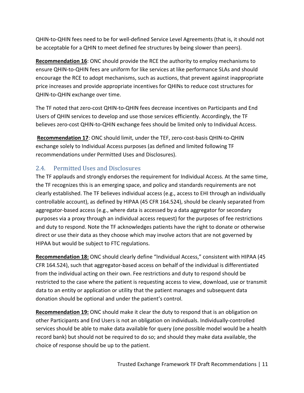QHIN-to-QHIN fees need to be for well-defined Service Level Agreements (that is, it should not be acceptable for a QHIN to meet defined fee structures by being slower than peers).

**Recommendation 16**: ONC should provide the RCE the authority to employ mechanisms to ensure QHIN-to-QHIN fees are uniform for like services at like performance SLAs and should encourage the RCE to adopt mechanisms, such as auctions, that prevent against inappropriate price increases and provide appropriate incentives for QHINs to reduce cost structures for QHIN-to-QHIN exchange over time.

The TF noted that zero-cost QHIN-to-QHIN fees decrease incentives on Participants and End Users of QHIN services to develop and use those services efficiently. Accordingly, the TF believes zero-cost QHIN-to-QHIN exchange fees should be limited only to Individual Access.

**Recommendation 17**: ONC should limit, under the TEF, zero-cost-basis QHIN-to-QHIN exchange solely to Individual Access purposes (as defined and limited following TF recommendations under Permitted Uses and Disclosures).

## 2.4. Permitted Uses and Disclosures

The TF applauds and strongly endorses the requirement for Individual Access. At the same time, the TF recognizes this is an emerging space, and policy and standards requirements are not clearly established. The TF believes individual access (e.g., access to EHI through an individually controllable account), as defined by HIPAA (45 CFR 164.524), should be cleanly separated from aggregator-based access (e.g., where data is accessed by a data aggregator for secondary purposes via a proxy through an individual access request) for the purposes of fee restrictions and duty to respond. Note the TF acknowledges patients have the right to donate or otherwise direct or use their data as they choose which may involve actors that are not governed by HIPAA but would be subject to FTC regulations.

**Recommendation 18:** ONC should clearly define "Individual Access," consistent with HIPAA (45 CFR 164.524), such that aggregator-based access on behalf of the individual is differentiated from the individual acting on their own. Fee restrictions and duty to respond should be restricted to the case where the patient is requesting access to view, download, use or transmit data to an entity or application or utility that the patient manages and subsequent data donation should be optional and under the patient's control.

**Recommendation 19:** ONC should make it clear the duty to respond that is an obligation on other Participants and End Users is not an obligation on individuals. Individually-controlled services should be able to make data available for query (one possible model would be a health record bank) but should not be required to do so; and should they make data available, the choice of response should be up to the patient.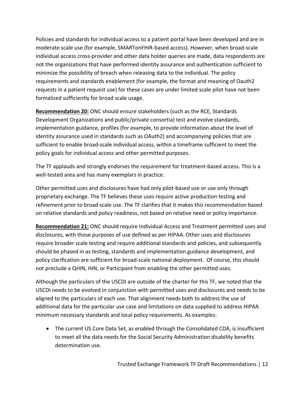Policies and standards for individual access to a patient portal have been developed and are in moderate scale use (for example, SMARTonFHIR-based access). However, when broad-scale individual access cross-provider and other data holder queries are made, data respondents are not the organizations that have performed identity assurance and authentication sufficient to minimize the possibility of breach when releasing data to the individual. The policy requirements and standards enablement (for example, the format and meaning of Oauth2 requests in a patient request use) for these cases are under limited scale pilot have not been formalized sufficiently for broad scale usage.

**Recommendation 20:** ONC should ensure stakeholders (such as the RCE, Standards Development Organizations and public/private consortia) test and evolve standards, implementation guidance, profiles (for example, to provide information about the level of identity assurance used in standards such as OAuth2) and accompanying policies that are sufficient to enable broad-scale individual access, within a timeframe sufficient to meet the policy goals for individual access and other permitted purposes.

The TF applauds and strongly endorses the requirement for treatment-based access. This is a well-tested area and has many exemplars in practice.

Other permitted uses and disclosures have had only pilot-based use or use only through proprietary exchange. The TF believes these uses require active production testing and refinement prior to broad scale use. The TF clarifies that it makes this recommendation based on relative standards and policy readiness, not based on relative need or policy importance.

**Recommendation 21:** ONC should require Individual Access and Treatment permitted uses and disclosures, with those purposes of use defined as per HIPAA. Other uses and disclosures require broader scale testing and require additional standards and policies, and subsequently should be phased in as testing, standards and implementation guidance development, and policy clarification are sufficient for broad-scale national deployment. Of course, this should not preclude a QHIN, HIN, or Participant from enabling the other permitted uses.

Although the particulars of the USCDI are outside of the charter for this TF, we noted that the USCDI needs to be evolved in conjunction with permitted uses and disclosures and needs to be aligned to the particulars of each use. That alignment needs both to address the use of additional data for the particular use case and limitations on data supplied to address HIPAA minimum necessary standards and local policy requirements. As examples:

• The current US Core Data Set, as enabled through the Consolidated CDA, is insufficient to meet all the data needs for the Social Security Administration disability benefits determination use.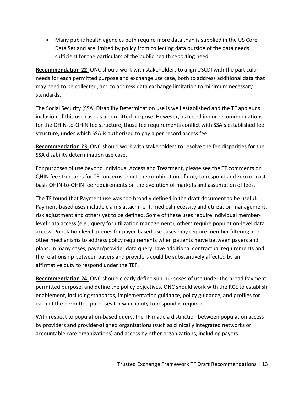• Many public health agencies both require more data than is supplied in the US Core Data Set and are limited by policy from collecting data outside of the data needs sufficient for the particulars of the public health reporting need

**Recommendation 22:** ONC should work with stakeholders to align USCDI with the particular needs for each permitted purpose and exchange use case, both to address additional data that may need to be collected, and to address data exchange limitation to minimum necessary standards.

The Social Security (SSA) Disability Determination use is well established and the TF applauds inclusion of this use case as a permitted purpose. However, as noted in our recommendations for the QHIN-to-QHIN fee structure, those fee requirements conflict with SSA's established fee structure, under which SSA is authorized to pay a per record access fee.

**Recommendation 23:** ONC should work with stakeholders to resolve the fee disparities for the SSA disability determination use case.

For purposes of use beyond Individual Access and Treatment, please see the TF comments on QHIN fee structures for TF concerns about the combination of duty to respond and zero or costbasis QHIN-to-QHIN fee requirements on the evolution of markets and assumption of fees.

The TF found that Payment use was too broadly defined in the draft document to be useful. Payment-based uses include claims attachment, medical necessity and utilization management, risk adjustment and others yet to be defined. Some of these uses require individual memberlevel data access (e.g., query for utilization management), others require population-level data access. Population level queries for payer-based use cases may require member filtering and other mechanisms to address policy requirements when patients move between payers and plans. In many cases, payer/provider data query have additional contractual requirements and the relationship between payers and providers could be substantively affected by an affirmative duty to respond under the TEF.

**Recommendation 24:** ONC should clearly define sub-purposes of use under the broad Payment permitted purpose, and define the policy objectives. ONC should work with the RCE to establish enablement, including standards, implementation guidance, policy guidance, and profiles for each of the permitted purposes for which duty to respond is required.

With respect to population-based query, the TF made a distinction between population access by providers and provider-aligned organizations (such as clinically integrated networks or accountable care organizations) and access by other organizations, including payers.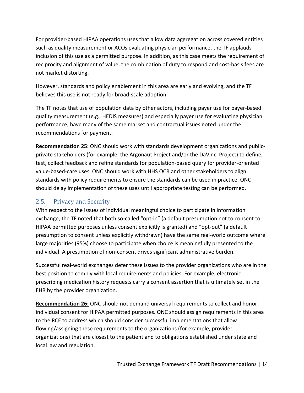For provider-based HIPAA operations uses that allow data aggregation across covered entities such as quality measurement or ACOs evaluating physician performance, the TF applauds inclusion of this use as a permitted purpose. In addition, as this case meets the requirement of reciprocity and alignment of value, the combination of duty to respond and cost-basis fees are not market distorting.

However, standards and policy enablement in this area are early and evolving, and the TF believes this use is not ready for broad-scale adoption.

The TF notes that use of population data by other actors, including payer use for payer-based quality measurement (e.g., HEDIS measures) and especially payer use for evaluating physician performance, have many of the same market and contractual issues noted under the recommendations for payment.

**Recommendation 25:** ONC should work with standards development organizations and publicprivate stakeholders (for example, the Argonaut Project and/or the DaVinci Project) to define, test, collect feedback and refine standards for population-based query for provider-oriented value-based-care uses. ONC should work with HHS OCR and other stakeholders to align standards with policy requirements to ensure the standards can be used in practice. ONC should delay implementation of these uses until appropriate testing can be performed.

#### 2.5. Privacy and Security

With respect to the issues of individual meaningful choice to participate in information exchange, the TF noted that both so-called "opt-in" (a default presumption not to consent to HIPAA permitted purposes unless consent explicitly is granted) and "opt-out" (a default presumption to consent unless explicitly withdrawn) have the same real-world outcome where large majorities (95%) choose to participate when choice is meaningfully presented to the individual. A presumption of non-consent drives significant administrative burden.

Successful real-world exchanges defer these issues to the provider organizations who are in the best position to comply with local requirements and policies. For example, electronic prescribing medication history requests carry a consent assertion that is ultimately set in the EHR by the provider organization.

**Recommendation 26:** ONC should not demand universal requirements to collect and honor individual consent for HIPAA permitted purposes. ONC should assign requirements in this area to the RCE to address which should consider successful implementations that allow flowing/assigning these requirements to the organizations (for example, provider organizations) that are closest to the patient and to obligations established under state and local law and regulation.